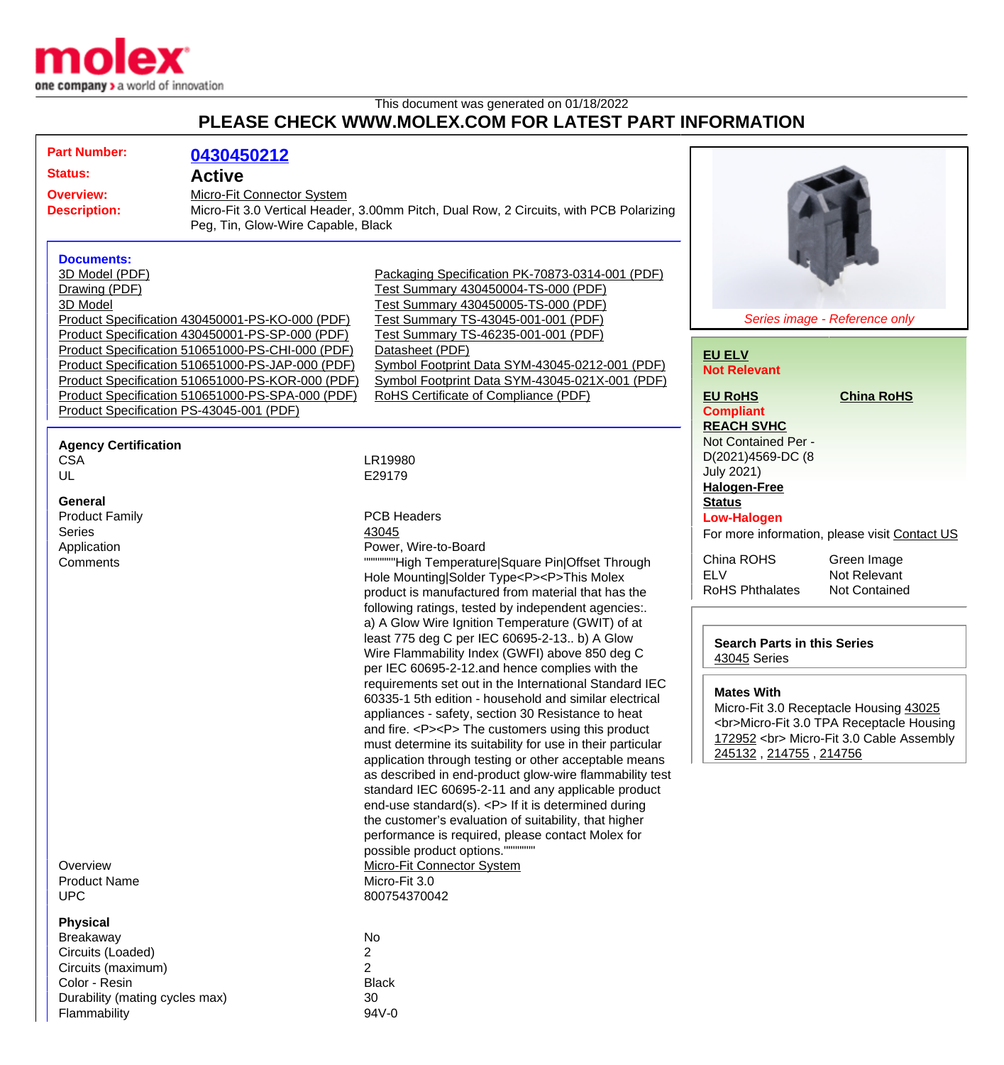

Flammability 94V-0

## This document was generated on 01/18/2022 **PLEASE CHECK WWW.MOLEX.COM FOR LATEST PART INFORMATION**

|                                               | <b>Part Number:</b><br><b>Status:</b><br><b>Overview:</b><br><b>Description:</b>                                                  | 0430450212<br><b>Active</b><br>Micro-Fit Connector System<br>Peg, Tin, Glow-Wire Capable, Black                                                                                                                                                                                                                                                                                                                                                                                                                                                                                                                                                                                                                                                                                                                                                                                                                                                                                                                                                                                                                                                                                                                                                                | Micro-Fit 3.0 Vertical Header, 3.00mm Pitch, Dual Row, 2 Circuits, with PCB Polarizing                                                                                                                                                                                                                                                                                     |                                                                                                                                  |  |
|-----------------------------------------------|-----------------------------------------------------------------------------------------------------------------------------------|----------------------------------------------------------------------------------------------------------------------------------------------------------------------------------------------------------------------------------------------------------------------------------------------------------------------------------------------------------------------------------------------------------------------------------------------------------------------------------------------------------------------------------------------------------------------------------------------------------------------------------------------------------------------------------------------------------------------------------------------------------------------------------------------------------------------------------------------------------------------------------------------------------------------------------------------------------------------------------------------------------------------------------------------------------------------------------------------------------------------------------------------------------------------------------------------------------------------------------------------------------------|----------------------------------------------------------------------------------------------------------------------------------------------------------------------------------------------------------------------------------------------------------------------------------------------------------------------------------------------------------------------------|----------------------------------------------------------------------------------------------------------------------------------|--|
|                                               | <b>Documents:</b><br>3D Model (PDF)<br>Drawing (PDF)<br>3D Model<br>Product Specification PS-43045-001 (PDF)                      | Product Specification 430450001-PS-KO-000 (PDF)<br>Product Specification 430450001-PS-SP-000 (PDF)<br>Product Specification 510651000-PS-CHI-000 (PDF)<br>Product Specification 510651000-PS-JAP-000 (PDF)<br>Product Specification 510651000-PS-KOR-000 (PDF)<br>Product Specification 510651000-PS-SPA-000 (PDF)                                                                                                                                                                                                                                                                                                                                                                                                                                                                                                                                                                                                                                                                                                                                                                                                                                                                                                                                             | Packaging Specification PK-70873-0314-001 (PDF)<br>Test Summary 430450004-TS-000 (PDF)<br>Test Summary 430450005-TS-000 (PDF)<br>Test Summary TS-43045-001-001 (PDF)<br>Test Summary TS-46235-001-001 (PDF)<br>Datasheet (PDF)<br>Symbol Footprint Data SYM-43045-0212-001 (PDF)<br>Symbol Footprint Data SYM-43045-021X-001 (PDF)<br>RoHS Certificate of Compliance (PDF) | Series image - Reference only<br><b>EU ELV</b><br><b>Not Relevant</b><br><b>China RoHS</b><br><b>EU RoHS</b><br><b>Compliant</b> |  |
|                                               | <b>Agency Certification</b><br><b>CSA</b><br>UL                                                                                   |                                                                                                                                                                                                                                                                                                                                                                                                                                                                                                                                                                                                                                                                                                                                                                                                                                                                                                                                                                                                                                                                                                                                                                                                                                                                | LR19980<br>E29179                                                                                                                                                                                                                                                                                                                                                          | <b>REACH SVHC</b><br>Not Contained Per -<br>D(2021)4569-DC (8<br><b>July 2021)</b><br><b>Halogen-Free</b>                        |  |
|                                               | <b>General</b><br><b>Product Family</b><br><b>Series</b><br>Application<br>Comments                                               | <b>PCB Headers</b><br>43045<br>Power, Wire-to-Board<br>"High Temperature Square Pin Offset Through<br>Hole Mounting Solder Type <p><p>This Molex<br/>product is manufactured from material that has the<br/>following ratings, tested by independent agencies:.<br/>a) A Glow Wire Ignition Temperature (GWIT) of at<br/>least 775 deg C per IEC 60695-2-13 b) A Glow<br/>Wire Flammability Index (GWFI) above 850 deg C<br/>per IEC 60695-2-12.and hence complies with the<br/>requirements set out in the International Standard IEC<br/>60335-1 5th edition - household and similar electrical<br/>appliances - safety, section 30 Resistance to heat<br/>and fire. <p><p> The customers using this product<br/>must determine its suitability for use in their particular<br/>application through testing or other acceptable means<br/>as described in end-product glow-wire flammability test<br/>standard IEC 60695-2-11 and any applicable product<br/>end-use standard(s). <p> If it is determined during<br/>the customer's evaluation of suitability, that higher<br/>performance is required, please contact Molex for<br/>possible product options."<br/><b>Micro-Fit Connector System</b><br/>Micro-Fit 3.0<br/>800754370042</p></p></p></p></p> | <b>Status</b><br><b>Low-Halogen</b><br>For more information, please visit Contact US<br>China ROHS<br>Green Image<br><b>ELV</b><br>Not Relevant<br><b>RoHS Phthalates</b><br><b>Not Contained</b>                                                                                                                                                                          |                                                                                                                                  |  |
|                                               |                                                                                                                                   |                                                                                                                                                                                                                                                                                                                                                                                                                                                                                                                                                                                                                                                                                                                                                                                                                                                                                                                                                                                                                                                                                                                                                                                                                                                                | <b>Search Parts in this Series</b><br>43045 Series<br><b>Mates With</b><br>Micro-Fit 3.0 Receptacle Housing 43025<br><br>Micro-Fit 3.0 TPA Receptacle Housing<br>172952<br>Micro-Fit 3.0 Cable Assembly<br>245132, 214755, 214756                                                                                                                                          |                                                                                                                                  |  |
| Overview<br><b>Product Name</b><br><b>UPC</b> |                                                                                                                                   |                                                                                                                                                                                                                                                                                                                                                                                                                                                                                                                                                                                                                                                                                                                                                                                                                                                                                                                                                                                                                                                                                                                                                                                                                                                                |                                                                                                                                                                                                                                                                                                                                                                            |                                                                                                                                  |  |
|                                               | <b>Physical</b><br><b>Breakaway</b><br>Circuits (Loaded)<br>Circuits (maximum)<br>Color - Resin<br>Durability (mating cycles max) |                                                                                                                                                                                                                                                                                                                                                                                                                                                                                                                                                                                                                                                                                                                                                                                                                                                                                                                                                                                                                                                                                                                                                                                                                                                                | No<br>$\overline{2}$<br>$\overline{2}$<br><b>Black</b><br>30                                                                                                                                                                                                                                                                                                               |                                                                                                                                  |  |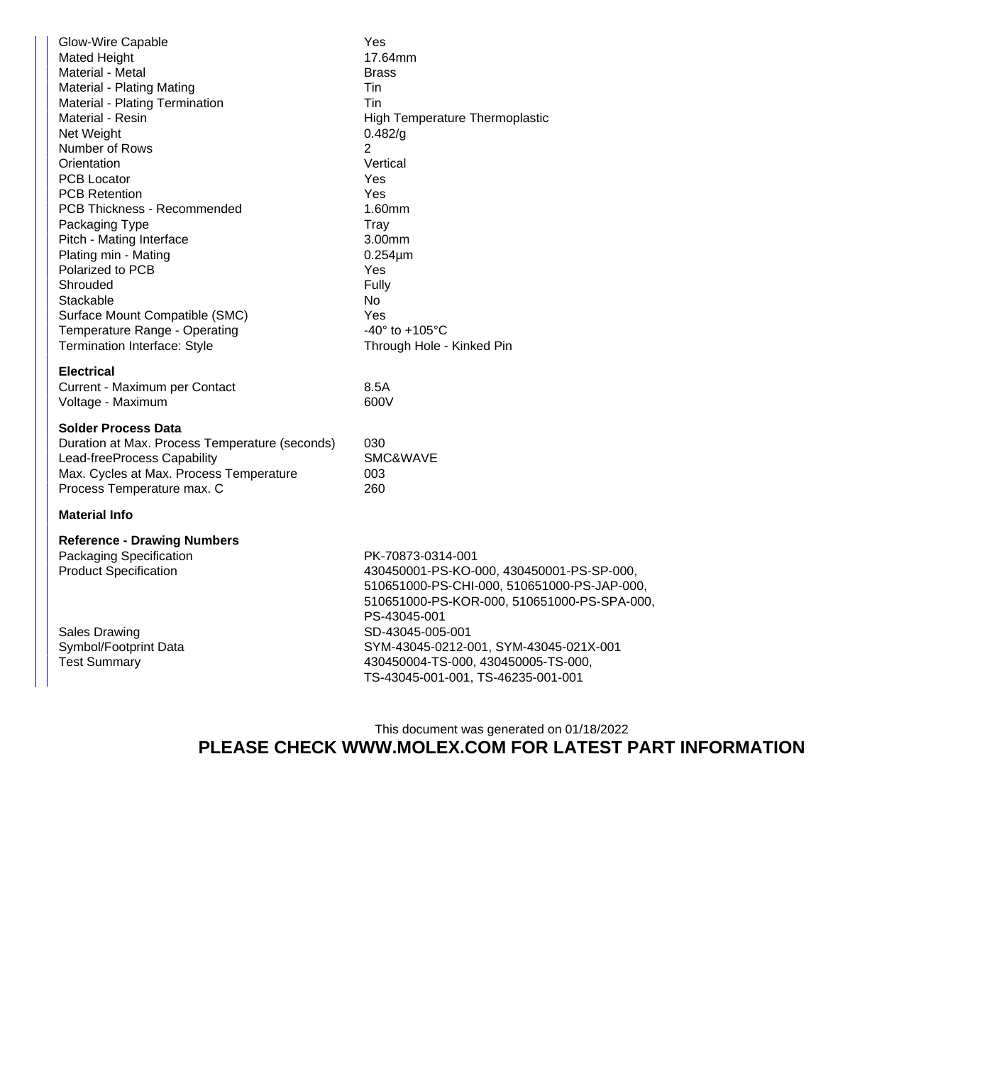| 17.64mm<br>High Temperature Thermoplastic<br>0.482/g<br>Vertical<br>1.60mm<br>3.00mm<br>$0.254 \mu m$<br>-40 $\degree$ to +105 $\degree$ C<br>Through Hole - Kinked Pin                                                                                                                                                 |  |  |  |  |  |
|-------------------------------------------------------------------------------------------------------------------------------------------------------------------------------------------------------------------------------------------------------------------------------------------------------------------------|--|--|--|--|--|
|                                                                                                                                                                                                                                                                                                                         |  |  |  |  |  |
| SMC&WAVE                                                                                                                                                                                                                                                                                                                |  |  |  |  |  |
| <b>Material Info</b>                                                                                                                                                                                                                                                                                                    |  |  |  |  |  |
| PK-70873-0314-001<br>430450001-PS-KO-000, 430450001-PS-SP-000,<br>510651000-PS-CHI-000, 510651000-PS-JAP-000,<br>510651000-PS-KOR-000, 510651000-PS-SPA-000,<br>PS-43045-001<br>SD-43045-005-001<br>SYM-43045-0212-001, SYM-43045-021X-001<br>430450004-TS-000, 430450005-TS-000,<br>TS-43045-001-001, TS-46235-001-001 |  |  |  |  |  |
| <b>Brass</b>                                                                                                                                                                                                                                                                                                            |  |  |  |  |  |

This document was generated on 01/18/2022 **PLEASE CHECK WWW.MOLEX.COM FOR LATEST PART INFORMATION**